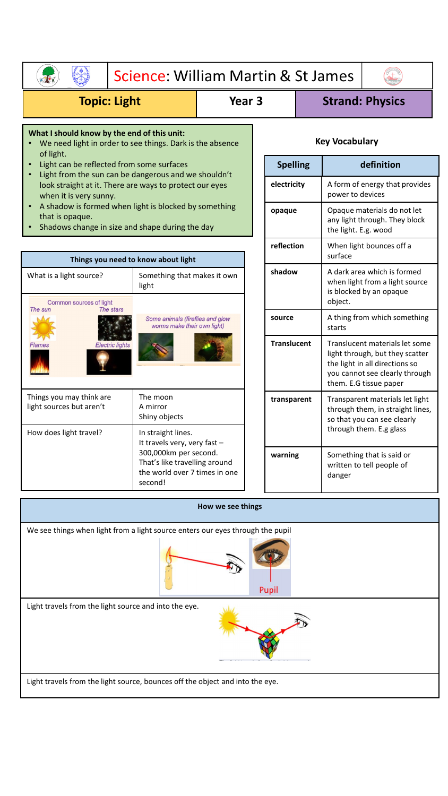| Science: William Martin & St James                                                                                                        |                                                                                                    |                   |                 |                    |                                                    |                                                                                                     |                                                                                                                                                                 |  |
|-------------------------------------------------------------------------------------------------------------------------------------------|----------------------------------------------------------------------------------------------------|-------------------|-----------------|--------------------|----------------------------------------------------|-----------------------------------------------------------------------------------------------------|-----------------------------------------------------------------------------------------------------------------------------------------------------------------|--|
| <b>Topic: Light</b>                                                                                                                       | Year <sub>3</sub>                                                                                  |                   |                 |                    | <b>Strand: Physics</b>                             |                                                                                                     |                                                                                                                                                                 |  |
| What I should know by the end of this unit:<br>We need light in order to see things. Dark is the absence                                  |                                                                                                    |                   |                 |                    |                                                    | <b>Key Vocabulary</b>                                                                               |                                                                                                                                                                 |  |
| of light.<br>Light can be reflected from some surfaces                                                                                    |                                                                                                    |                   | <b>Spelling</b> |                    | definition                                         |                                                                                                     |                                                                                                                                                                 |  |
| Light from the sun can be dangerous and we shouldn't<br>look straight at it. There are ways to protect our eyes<br>when it is very sunny. |                                                                                                    |                   | electricity     |                    | A form of energy that provides<br>power to devices |                                                                                                     |                                                                                                                                                                 |  |
| A shadow is formed when light is blocked by something<br>that is opaque.<br>Shadows change in size and shape during the day               |                                                                                                    |                   | opaque          |                    |                                                    | Opaque materials do not let<br>any light through. They block<br>the light. E.g. wood                |                                                                                                                                                                 |  |
|                                                                                                                                           |                                                                                                    |                   |                 | reflection         |                                                    | surface                                                                                             | When light bounces off a                                                                                                                                        |  |
| What is a light source?<br>Common sources of light                                                                                        | Things you need to know about light<br>Something that makes it own<br>light                        |                   |                 | shadow<br>source   |                                                    | A dark area which is formed<br>when light from a light source<br>is blocked by an opaque<br>object. |                                                                                                                                                                 |  |
| The sun<br>The stars<br><b>Electric lights</b><br>Flames                                                                                  | Some animals (fireflies and glow<br>worms make their own light)                                    |                   |                 |                    |                                                    | A thing from which something<br>starts                                                              |                                                                                                                                                                 |  |
|                                                                                                                                           |                                                                                                    |                   |                 | <b>Translucent</b> |                                                    |                                                                                                     | Translucent materials let some<br>light through, but they scatter<br>the light in all directions so<br>you cannot see clearly through<br>them. E.G tissue paper |  |
| Things you may think are<br>light sources but aren't                                                                                      | The moon<br>A mirror<br>Shiny objects                                                              |                   |                 | transparent        |                                                    | Transparent materials let light<br>through them, in straight lines,<br>so that you can see clearly  |                                                                                                                                                                 |  |
| How does light travel?                                                                                                                    | In straight lines.<br>It travels very, very fast -                                                 |                   |                 |                    |                                                    | through them. E.g glass                                                                             |                                                                                                                                                                 |  |
|                                                                                                                                           | 300,000km per second.<br>That's like travelling around<br>the world over 7 times in one<br>second! |                   |                 | warning            |                                                    | Something that is said or<br>written to tell people of<br>danger                                    |                                                                                                                                                                 |  |
|                                                                                                                                           |                                                                                                    | How we see things |                 |                    |                                                    |                                                                                                     |                                                                                                                                                                 |  |
| We see things when light from a light source enters our eyes through the pupil                                                            |                                                                                                    |                   |                 | Pupil              |                                                    |                                                                                                     |                                                                                                                                                                 |  |

Light travels from the light source and into the eye.



Light travels from the light source, bounces off the object and into the eye.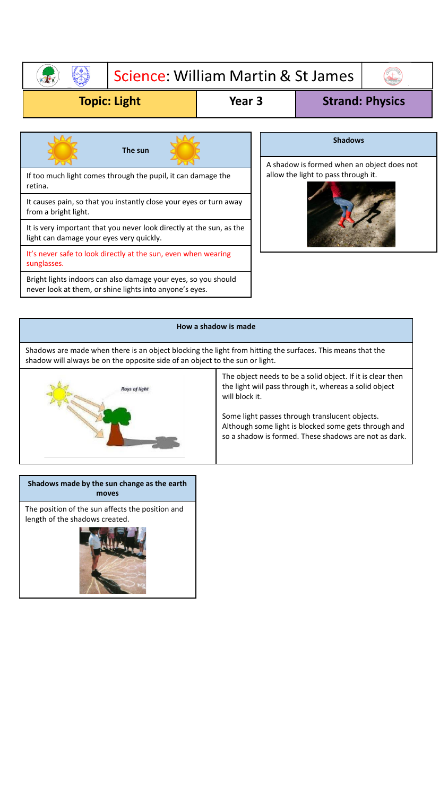### Science: William Martin & St James **RES**

## **Topic: Light Year 3 Strand: Physics**



It's never safe to look directly at the sun, even when wearing sunglasses.

Bright lights indoors can also damage your eyes, so you should never look at them, or shine lights into anyone's eyes.



**Shadows**



# **How a shadow is made** Shadows are made when there is an object blocking the light from hitting the surfaces. This means that the shadow will always be on the opposite side of an object to the sun or light. The object needs to be a solid object. If it is clear then the light wiil pass through it, whereas a solid object **Rays of light** will block it. Some light passes through translucent objects. Although some light is blocked some gets through and so a shadow is formed. These shadows are not as dark.